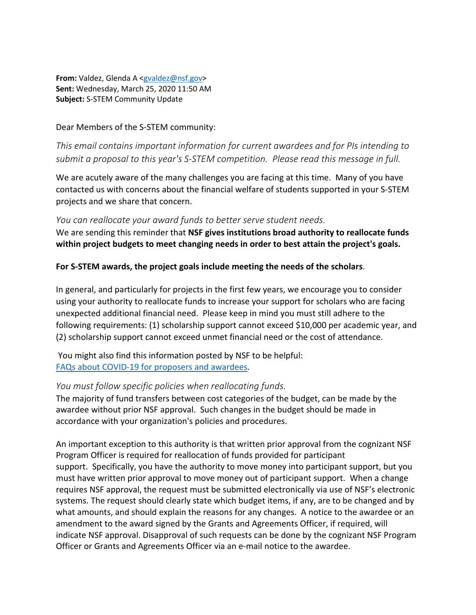**From:** Valdez, Glenda A [<gvaldez@nsf.gov>](mailto:gvaldez@nsf.gov) **Sent:** Wednesday, March 25, 2020 11:50 AM **Subject:** S-STEM Community Update

Dear Members of the S-STEM community:

*This email contains important information for current awardees and for PIs intending to submit a proposal to this year's S-STEM competition. Please read this message in full.*

We are acutely aware of the many challenges you are facing at this time. Many of you have contacted us with concerns about the financial welfare of students supported in your S-STEM projects and we share that concern.

#### *You can reallocate your award funds to better serve student needs.*

We are sending this reminder that **NSF gives institutions broad authority to reallocate funds within project budgets to meet changing needs in order to best attain the project's goals.**

### **For S-STEM awards, the project goals include meeting the needs of the scholars**.

In general, and particularly for projects in the first few years, we encourage you to consider using your authority to reallocate funds to increase your support for scholars who are facing unexpected additional financial need. Please keep in mind you must still adhere to the following requirements: (1) scholarship support cannot exceed \$10,000 per academic year, and (2) scholarship support cannot exceed unmet financial need or the cost of attendance.

You might also find this information posted by NSF to be helpful: [FAQs about COVID-19 for proposers and awardees.](https://nam05.safelinks.protection.outlook.com/?url=https%3A%2F%2Fwww.nsf.gov%2Fbfa%2Fdias%2Fpolicy%2Fcovid19%2Fcovid19faqs_proposerandawardee.pdf&data=02%7C01%7Cmtj4%40pitt.edu%7C7451a86f3d3b4450e50908d7d0db174e%7C9ef9f489e0a04eeb87cc3a526112fd0d%7C1%7C0%7C637207511709965650&sdata=W27CC%2BxPBZRWyT0Si8%2FLmqfgaFLPBSaFK4JvEntA%2BNY%3D&reserved=0)

### *You must follow specific policies when reallocating funds.*

The majority of fund transfers between cost categories of the budget, can be made by the awardee without prior NSF approval. Such changes in the budget should be made in accordance with your organization's policies and procedures.

An important exception to this authority is that written prior approval from the cognizant NSF Program Officer is required for reallocation of funds provided for participant support. Specifically, you have the authority to move money into participant support, but you must have written prior approval to move money out of participant support. When a change requires NSF approval, the request must be submitted electronically via use of NSF's electronic systems. The request should clearly state which budget items, if any, are to be changed and by what amounts, and should explain the reasons for any changes. A notice to the awardee or an amendment to the award signed by the Grants and Agreements Officer, if required, will indicate NSF approval. Disapproval of such requests can be done by the cognizant NSF Program Officer or Grants and Agreements Officer via an e-mail notice to the awardee.